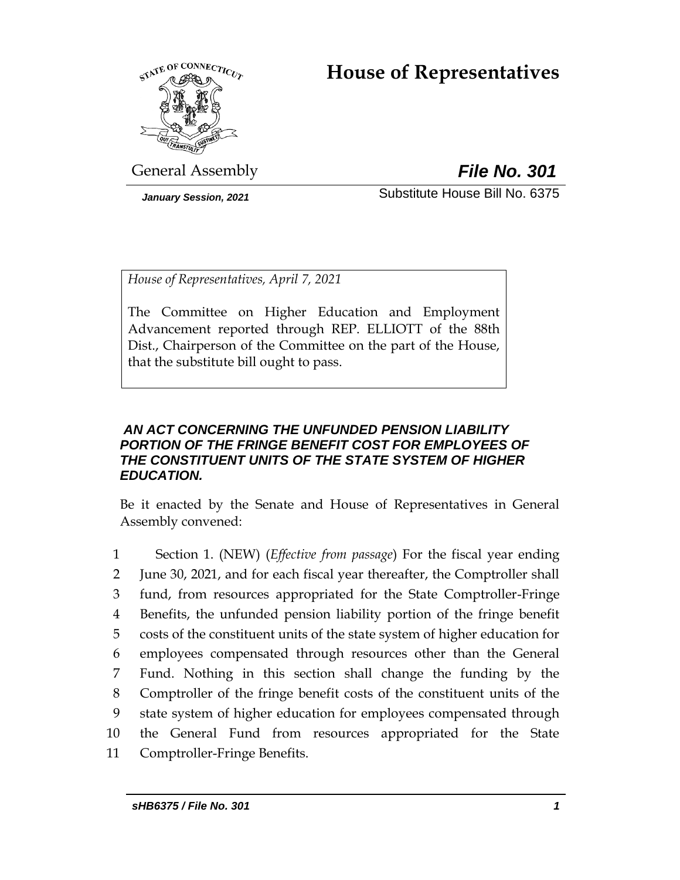# **House of Representatives**



General Assembly *File No. 301*

*January Session, 2021* Substitute House Bill No. 6375

*House of Representatives, April 7, 2021*

The Committee on Higher Education and Employment Advancement reported through REP. ELLIOTT of the 88th Dist., Chairperson of the Committee on the part of the House, that the substitute bill ought to pass.

## *AN ACT CONCERNING THE UNFUNDED PENSION LIABILITY PORTION OF THE FRINGE BENEFIT COST FOR EMPLOYEES OF THE CONSTITUENT UNITS OF THE STATE SYSTEM OF HIGHER EDUCATION.*

Be it enacted by the Senate and House of Representatives in General Assembly convened:

 Section 1. (NEW) (*Effective from passage*) For the fiscal year ending June 30, 2021, and for each fiscal year thereafter, the Comptroller shall fund, from resources appropriated for the State Comptroller-Fringe Benefits, the unfunded pension liability portion of the fringe benefit costs of the constituent units of the state system of higher education for employees compensated through resources other than the General Fund. Nothing in this section shall change the funding by the Comptroller of the fringe benefit costs of the constituent units of the state system of higher education for employees compensated through the General Fund from resources appropriated for the State Comptroller-Fringe Benefits.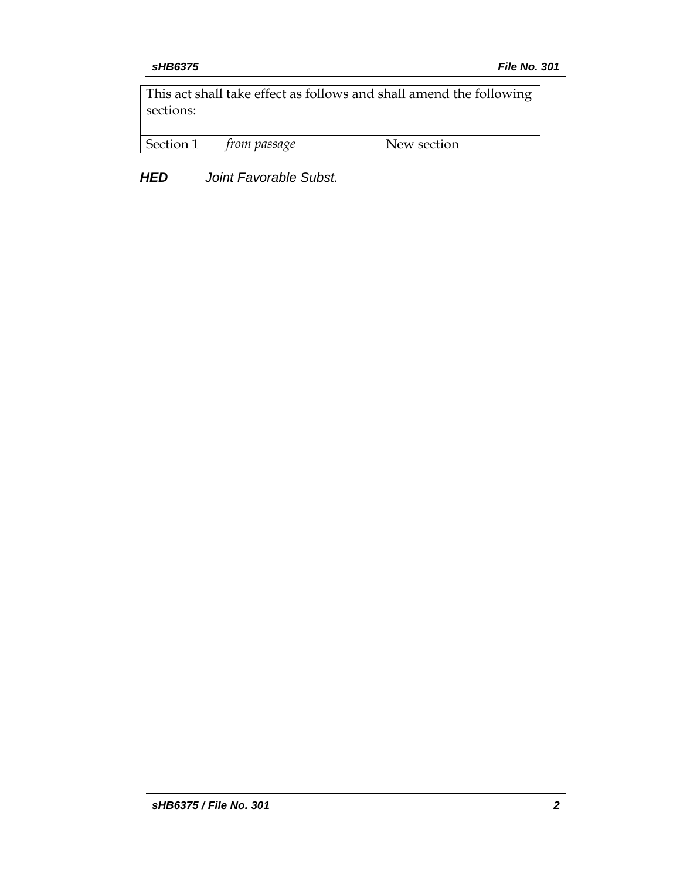This act shall take effect as follows and shall amend the following sections:

| Section<br>New section<br><i>from passage</i> |
|-----------------------------------------------|
|-----------------------------------------------|

*HED Joint Favorable Subst.*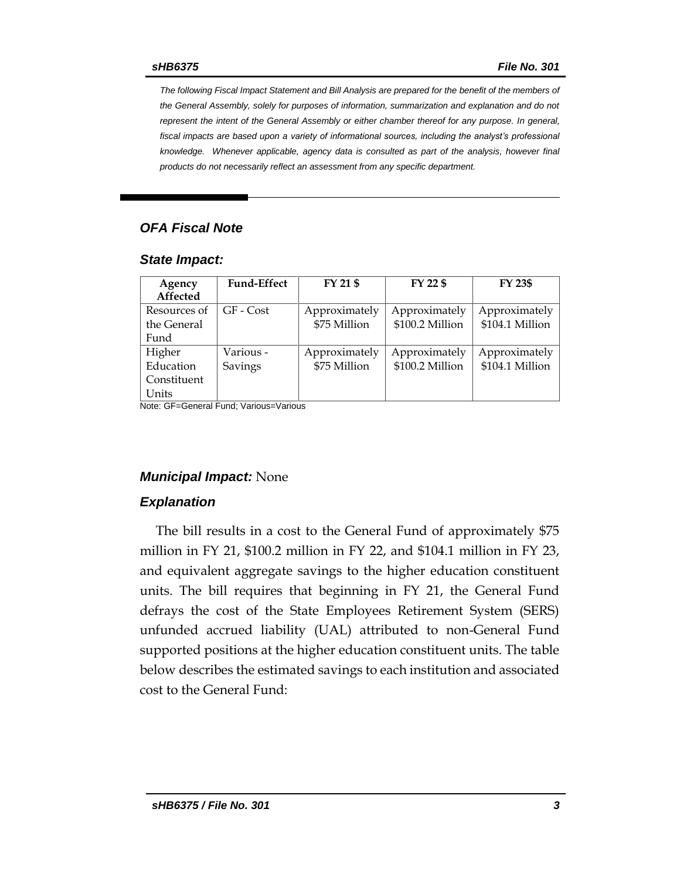*The following Fiscal Impact Statement and Bill Analysis are prepared for the benefit of the members of the General Assembly, solely for purposes of information, summarization and explanation and do not represent the intent of the General Assembly or either chamber thereof for any purpose. In general, fiscal impacts are based upon a variety of informational sources, including the analyst's professional knowledge. Whenever applicable, agency data is consulted as part of the analysis, however final products do not necessarily reflect an assessment from any specific department.*

### *OFA Fiscal Note*

#### *State Impact:*

| Agency<br>Affected | <b>Fund-Effect</b> | FY 21 \$      | FY 22 \$        | FY 23\$         |
|--------------------|--------------------|---------------|-----------------|-----------------|
| Resources of       | GF - Cost          | Approximately | Approximately   | Approximately   |
| the General        |                    | \$75 Million  | \$100.2 Million | \$104.1 Million |
| Fund               |                    |               |                 |                 |
| Higher             | Various -          | Approximately | Approximately   | Approximately   |
| Education          | Savings            | \$75 Million  | \$100.2 Million | \$104.1 Million |
| Constituent        |                    |               |                 |                 |
| Units              |                    |               |                 |                 |

Note: GF=General Fund; Various=Various

#### *Municipal Impact:* None

#### *Explanation*

The bill results in a cost to the General Fund of approximately \$75 million in FY 21, \$100.2 million in FY 22, and \$104.1 million in FY 23, and equivalent aggregate savings to the higher education constituent units. The bill requires that beginning in FY 21, the General Fund defrays the cost of the State Employees Retirement System (SERS) unfunded accrued liability (UAL) attributed to non-General Fund supported positions at the higher education constituent units. The table below describes the estimated savings to each institution and associated cost to the General Fund: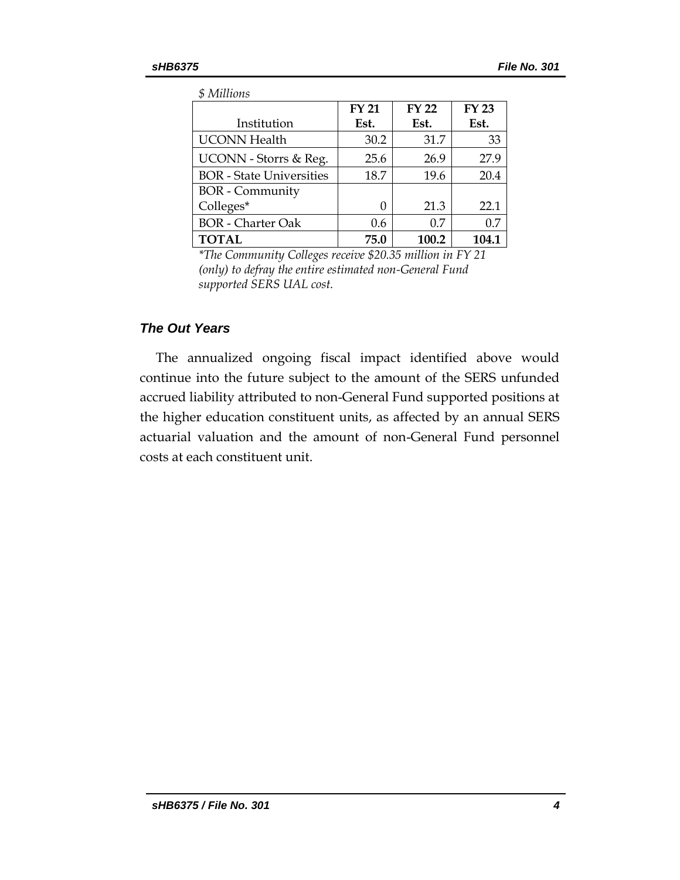*\$ Millions*

| 9111110100                      |              |              |              |  |  |
|---------------------------------|--------------|--------------|--------------|--|--|
|                                 | <b>FY 21</b> | <b>FY 22</b> | <b>FY 23</b> |  |  |
| Institution                     | Est.         | Est.         | Est.         |  |  |
| <b>UCONN</b> Health             | 30.2         | 31.7         | 33           |  |  |
| UCONN - Storrs & Reg.           | 25.6         | 26.9         | 27.9         |  |  |
| <b>BOR</b> - State Universities | 18.7         | 19.6         | 20.4         |  |  |
| <b>BOR</b> - Community          |              |              |              |  |  |
| Colleges*                       | 0            | 21.3         | 22.1         |  |  |
| <b>BOR</b> - Charter Oak        | 0.6          | 0.7          | 0.7          |  |  |
| <b>TOTAL</b>                    | 75.0         | 100.2        | 104.1        |  |  |

*\*The Community Colleges receive \$20.35 million in FY 21 (only) to defray the entire estimated non-General Fund supported SERS UAL cost.*

### *The Out Years*

The annualized ongoing fiscal impact identified above would continue into the future subject to the amount of the SERS unfunded accrued liability attributed to non-General Fund supported positions at the higher education constituent units, as affected by an annual SERS actuarial valuation and the amount of non-General Fund personnel costs at each constituent unit.

*sHB6375 / File No. 301 4*